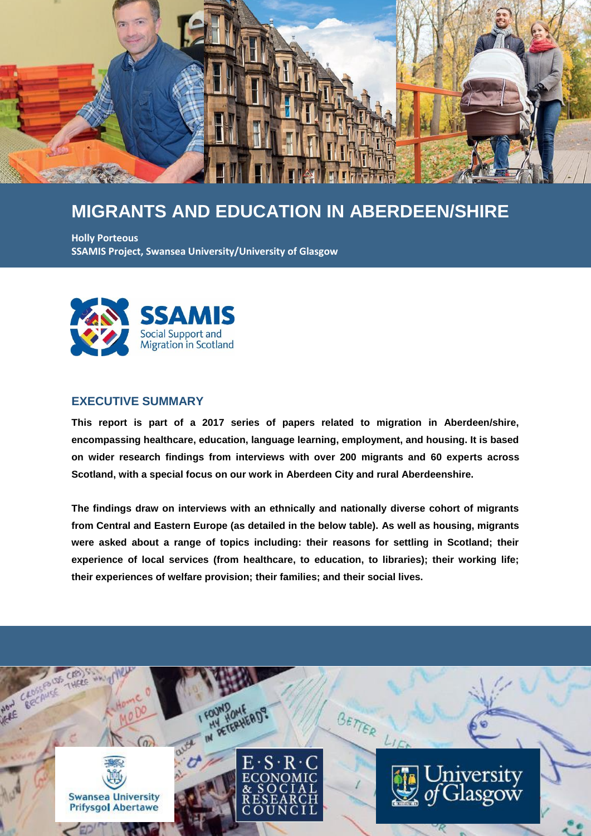

# **MIGRANTS AND EDUCATION IN ABERDEEN/SHIRE**

**Holly Porteous SSAMIS Project, Swansea University/University of Glasgow**



#### **EXECUTIVE SUMMARY**

**This report is part of a 2017 series of papers related to migration in Aberdeen/shire, encompassing healthcare, education, language learning, employment, and housing. It is based on wider research findings from interviews with over 200 migrants and 60 experts across Scotland, with a special focus on our work in Aberdeen City and rural Aberdeenshire.**

**The findings draw on interviews with an ethnically and nationally diverse cohort of migrants from Central and Eastern Europe (as detailed in the below table). As well as housing, migrants were asked about a range of topics including: their reasons for settling in Scotland; their experience of local services (from healthcare, to education, to libraries); their working life; their experiences of welfare provision; their families; and their social lives.**

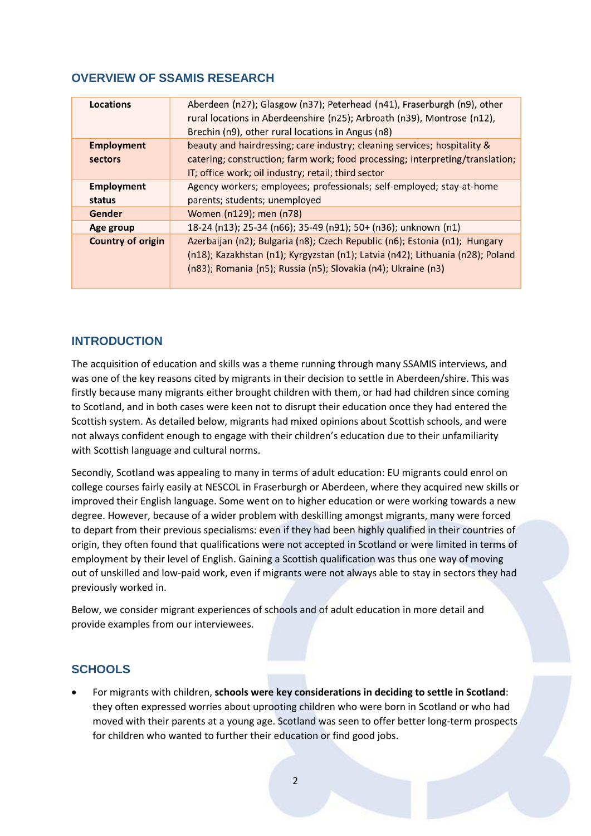### **OVERVIEW OF SSAMIS RESEARCH**

| Locations                | Aberdeen (n27); Glasgow (n37); Peterhead (n41), Fraserburgh (n9), other<br>rural locations in Aberdeenshire (n25); Arbroath (n39), Montrose (n12),<br>Brechin (n9), other rural locations in Angus (n8) |
|--------------------------|---------------------------------------------------------------------------------------------------------------------------------------------------------------------------------------------------------|
| <b>Employment</b>        | beauty and hairdressing; care industry; cleaning services; hospitality &                                                                                                                                |
| sectors                  | catering; construction; farm work; food processing; interpreting/translation;                                                                                                                           |
|                          | IT; office work; oil industry; retail; third sector                                                                                                                                                     |
| <b>Employment</b>        | Agency workers; employees; professionals; self-employed; stay-at-home                                                                                                                                   |
| status                   | parents; students; unemployed                                                                                                                                                                           |
| Gender                   | Women (n129); men (n78)                                                                                                                                                                                 |
| Age group                | 18-24 (n13); 25-34 (n66); 35-49 (n91); 50+ (n36); unknown (n1)                                                                                                                                          |
| <b>Country of origin</b> | Azerbaijan (n2); Bulgaria (n8); Czech Republic (n6); Estonia (n1); Hungary                                                                                                                              |
|                          | (n18); Kazakhstan (n1); Kyrgyzstan (n1); Latvia (n42); Lithuania (n28); Poland                                                                                                                          |
|                          | (n83); Romania (n5); Russia (n5); Slovakia (n4); Ukraine (n3)                                                                                                                                           |
|                          |                                                                                                                                                                                                         |

#### **INTRODUCTION**

The acquisition of education and skills was a theme running through many SSAMIS interviews, and was one of the key reasons cited by migrants in their decision to settle in Aberdeen/shire. This was firstly because many migrants either brought children with them, or had had children since coming to Scotland, and in both cases were keen not to disrupt their education once they had entered the Scottish system. As detailed below, migrants had mixed opinions about Scottish schools, and were not always confident enough to engage with their children's education due to their unfamiliarity with Scottish language and cultural norms.

Secondly, Scotland was appealing to many in terms of adult education: EU migrants could enrol on college courses fairly easily at NESCOL in Fraserburgh or Aberdeen, where they acquired new skills or improved their English language. Some went on to higher education or were working towards a new degree. However, because of a wider problem with deskilling amongst migrants, many were forced to depart from their previous specialisms: even if they had been highly qualified in their countries of origin, they often found that qualifications were not accepted in Scotland or were limited in terms of employment by their level of English. Gaining a Scottish qualification was thus one way of moving out of unskilled and low-paid work, even if migrants were not always able to stay in sectors they had previously worked in.

Below, we consider migrant experiences of schools and of adult education in more detail and provide examples from our interviewees.

#### **SCHOOLS**

 For migrants with children, **schools were key considerations in deciding to settle in Scotland**: they often expressed worries about uprooting children who were born in Scotland or who had moved with their parents at a young age. Scotland was seen to offer better long-term prospects for children who wanted to further their education or find good jobs.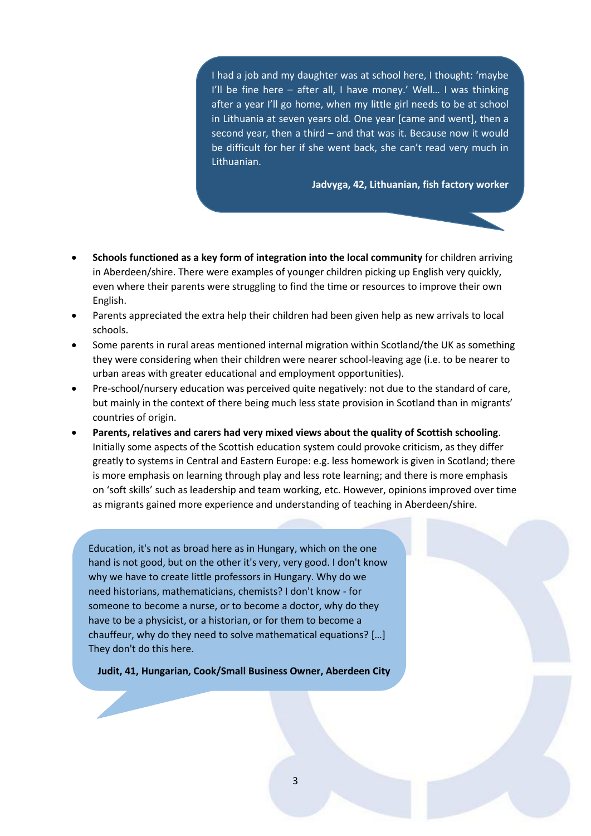I had a job and my daughter was at school here, I thought: 'maybe I'll be fine here – after all, I have money.' Well… I was thinking after a year I'll go home, when my little girl needs to be at school in Lithuania at seven years old. One year [came and went], then a second year, then a third – and that was it. Because now it would be difficult for her if she went back, she can't read very much in Lithuanian.

**Jadvyga, 42, Lithuanian, fish factory worker**

- **Schools functioned as a key form of integration into the local community** for children arriving in Aberdeen/shire. There were examples of younger children picking up English very quickly, even where their parents were struggling to find the time or resources to improve their own English.
- Parents appreciated the extra help their children had been given help as new arrivals to local schools.
- Some parents in rural areas mentioned internal migration within Scotland/the UK as something they were considering when their children were nearer school-leaving age (i.e. to be nearer to urban areas with greater educational and employment opportunities).
- Pre-school/nursery education was perceived quite negatively: not due to the standard of care, but mainly in the context of there being much less state provision in Scotland than in migrants' countries of origin.
- **Parents, relatives and carers had very mixed views about the quality of Scottish schooling**. Initially some aspects of the Scottish education system could provoke criticism, as they differ greatly to systems in Central and Eastern Europe: e.g. less homework is given in Scotland; there is more emphasis on learning through play and less rote learning; and there is more emphasis on 'soft skills' such as leadership and team working, etc. However, opinions improved over time as migrants gained more experience and understanding of teaching in Aberdeen/shire.

Education, it's not as broad here as in Hungary, which on the one hand is not good, but on the other it's very, very good. I don't know why we have to create little professors in Hungary. Why do we need historians, mathematicians, chemists? I don't know - for someone to become a nurse, or to become a doctor, why do they have to be a physicist, or a historian, or for them to become a chauffeur, why do they need to solve mathematical equations? […] They don't do this here.

**Judit, 41, Hungarian, Cook/Small Business Owner, Aberdeen City**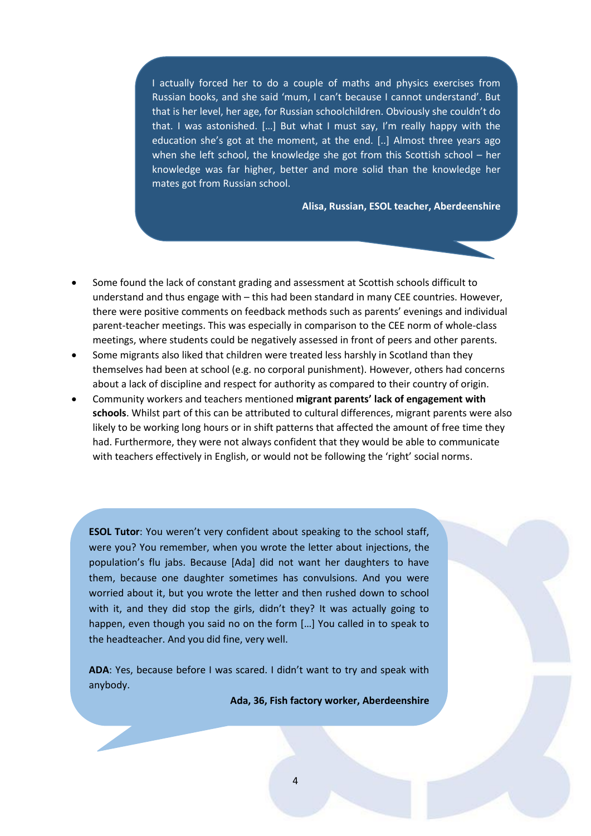I actually forced her to do a couple of maths and physics exercises from Russian books, and she said 'mum, I can't because I cannot understand'. But that is her level, her age, for Russian schoolchildren. Obviously she couldn't do that. I was astonished. […] But what I must say, I'm really happy with the education she's got at the moment, at the end. [..] Almost three years ago when she left school, the knowledge she got from this Scottish school – her knowledge was far higher, better and more solid than the knowledge her mates got from Russian school.

**Alisa, Russian, ESOL teacher, Aberdeenshire**

- Some found the lack of constant grading and assessment at Scottish schools difficult to understand and thus engage with – this had been standard in many CEE countries. However, there were positive comments on feedback methods such as parents' evenings and individual parent-teacher meetings. This was especially in comparison to the CEE norm of whole-class meetings, where students could be negatively assessed in front of peers and other parents.
- Some migrants also liked that children were treated less harshly in Scotland than they themselves had been at school (e.g. no corporal punishment). However, others had concerns about a lack of discipline and respect for authority as compared to their country of origin.
- Community workers and teachers mentioned **migrant parents' lack of engagement with schools**. Whilst part of this can be attributed to cultural differences, migrant parents were also likely to be working long hours or in shift patterns that affected the amount of free time they had. Furthermore, they were not always confident that they would be able to communicate with teachers effectively in English, or would not be following the 'right' social norms.

**ESOL Tutor**: You weren't very confident about speaking to the school staff, were you? You remember, when you wrote the letter about injections, the population's flu jabs. Because [Ada] did not want her daughters to have them, because one daughter sometimes has convulsions. And you were worried about it, but you wrote the letter and then rushed down to school with it, and they did stop the girls, didn't they? It was actually going to happen, even though you said no on the form […] You called in to speak to the headteacher. And you did fine, very well.

**ADA**: Yes, because before I was scared. I didn't want to try and speak with anybody.

**Ada, 36, Fish factory worker, Aberdeenshire**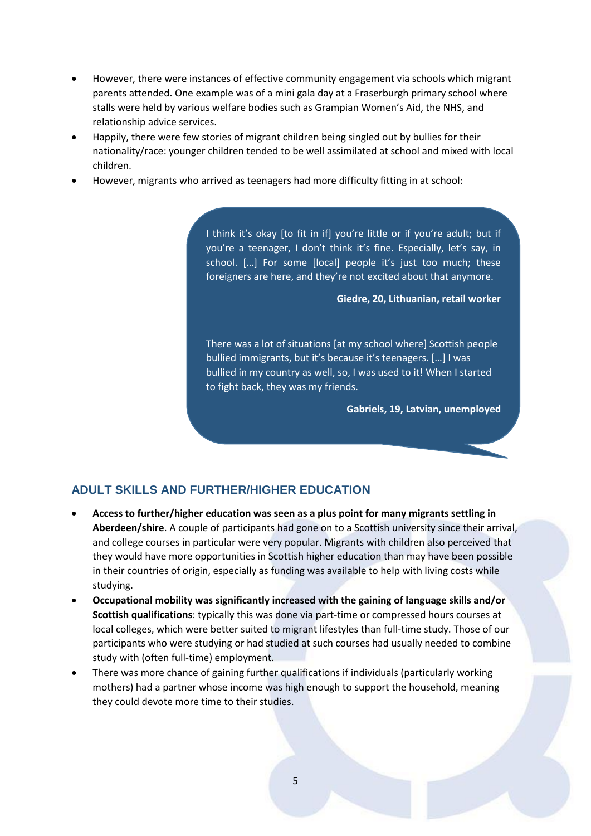- However, there were instances of effective community engagement via schools which migrant parents attended. One example was of a mini gala day at a Fraserburgh primary school where stalls were held by various welfare bodies such as Grampian Women's Aid, the NHS, and relationship advice services.
- Happily, there were few stories of migrant children being singled out by bullies for their nationality/race: younger children tended to be well assimilated at school and mixed with local children.
- However, migrants who arrived as teenagers had more difficulty fitting in at school:

I think it's okay [to fit in if] you're little or if you're adult; but if you're a teenager, I don't think it's fine. Especially, let's say, in school. [...] For some [local] people it's just too much; these foreigners are here, and they're not excited about that anymore.

**Giedre, 20, Lithuanian, retail worker**

There was a lot of situations [at my school where] Scottish people bullied immigrants, but it's because it's teenagers. […] I was bullied in my country as well, so, I was used to it! When I started to fight back, they was my friends.

**Gabriels, 19, Latvian, unemployed**

### **ADULT SKILLS AND FURTHER/HIGHER EDUCATION**

- **Access to further/higher education was seen as a plus point for many migrants settling in Aberdeen/shire**. A couple of participants had gone on to a Scottish university since their arrival, and college courses in particular were very popular. Migrants with children also perceived that they would have more opportunities in Scottish higher education than may have been possible in their countries of origin, especially as funding was available to help with living costs while studying.
- **Occupational mobility was significantly increased with the gaining of language skills and/or Scottish qualifications**: typically this was done via part-time or compressed hours courses at local colleges, which were better suited to migrant lifestyles than full-time study. Those of our participants who were studying or had studied at such courses had usually needed to combine study with (often full-time) employment.
- There was more chance of gaining further qualifications if individuals (particularly working mothers) had a partner whose income was high enough to support the household, meaning they could devote more time to their studies.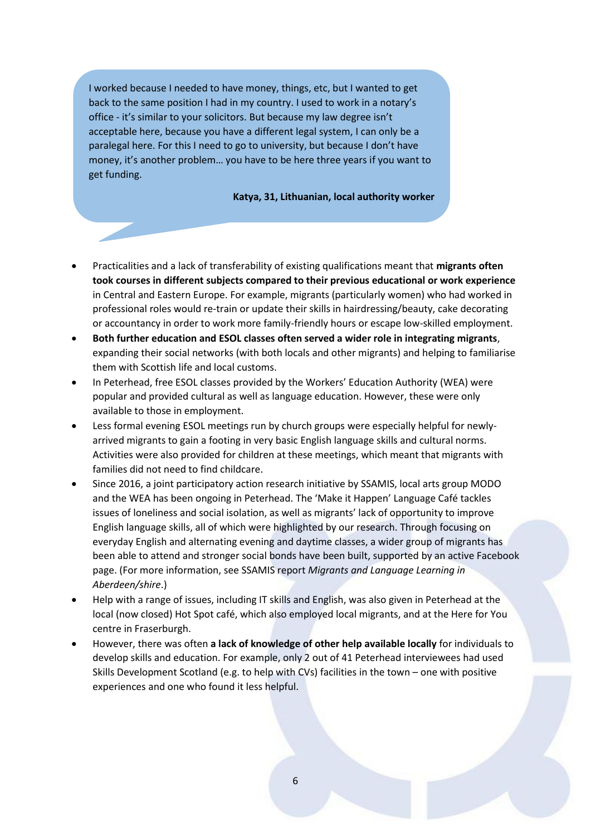I worked because I needed to have money, things, etc, but I wanted to get back to the same position I had in my country. I used to work in a notary's office - it's similar to your solicitors. But because my law degree isn't acceptable here, because you have a different legal system, I can only be a paralegal here. For this I need to go to university, but because I don't have money, it's another problem… you have to be here three years if you want to get funding.

#### **Katya, 31, Lithuanian, local authority worker**

- Practicalities and a lack of transferability of existing qualifications meant that **migrants often took courses in different subjects compared to their previous educational or work experience** in Central and Eastern Europe. For example, migrants (particularly women) who had worked in professional roles would re-train or update their skills in hairdressing/beauty, cake decorating or accountancy in order to work more family-friendly hours or escape low-skilled employment.
- **Both further education and ESOL classes often served a wider role in integrating migrants**, expanding their social networks (with both locals and other migrants) and helping to familiarise them with Scottish life and local customs.
- In Peterhead, free ESOL classes provided by the Workers' Education Authority (WEA) were popular and provided cultural as well as language education. However, these were only available to those in employment.
- Less formal evening ESOL meetings run by church groups were especially helpful for newlyarrived migrants to gain a footing in very basic English language skills and cultural norms. Activities were also provided for children at these meetings, which meant that migrants with families did not need to find childcare.
- Since 2016, a joint participatory action research initiative by SSAMIS, local arts group MODO and the WEA has been ongoing in Peterhead. The 'Make it Happen' Language Café tackles issues of loneliness and social isolation, as well as migrants' lack of opportunity to improve English language skills, all of which were highlighted by our research. Through focusing on everyday English and alternating evening and daytime classes, a wider group of migrants has been able to attend and stronger social bonds have been built, supported by an active Facebook page. (For more information, see SSAMIS report *Migrants and Language Learning in Aberdeen/shire*.)
- Help with a range of issues, including IT skills and English, was also given in Peterhead at the local (now closed) Hot Spot café, which also employed local migrants, and at the Here for You centre in Fraserburgh.
- However, there was often **a lack of knowledge of other help available locally** for individuals to develop skills and education. For example, only 2 out of 41 Peterhead interviewees had used Skills Development Scotland (e.g. to help with CVs) facilities in the town – one with positive experiences and one who found it less helpful.